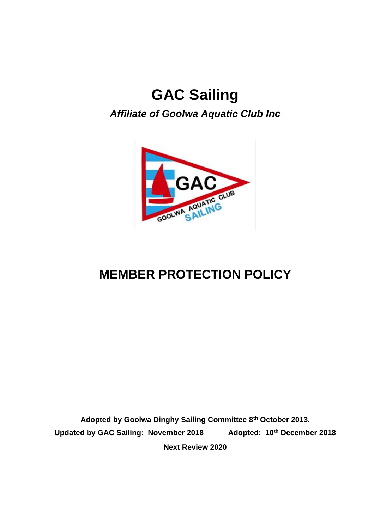# **GAC Sailing**

# *Affiliate of Goolwa Aquatic Club Inc*



# **MEMBER PROTECTION POLICY**

**Adopted by Goolwa Dinghy Sailing Committee 8th October 2013. Updated by GAC Sailing: November 2018 Adopted: 10th December 2018**

**Next Review 2020**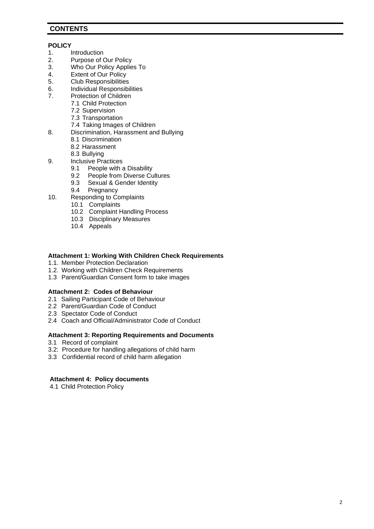### **CONTENTS**

#### **POLICY**

- 1. Introduction<br>2. Purpose of 0
- 2. Purpose of Our Policy<br>3. Who Our Policy Applie
- 3. Who Our Policy Applies To<br>4. Extent of Our Policy
- 4. Extent of Our Policy<br>5. Club Responsibilities
- 5. Club Responsibilities<br>6. Individual Responsibi
- Individual Responsibilities
- 7. Protection of Children
	- 7.1 Child Protection
		- 7.2 Supervision
		- 7.3 Transportation
	- 7.4 Taking Images of Children
- 8. Discrimination, Harassment and Bullying
	- 8.1 Discrimination
	- 8.2 Harassment
	- 8.3 Bullying
- 9. Inclusive Practices<br>9.1 People with a
	- 9.1 People with a Disability<br>9.2 People from Diverse Cu
	- 9.2 People from Diverse Cultures<br>9.3 Sexual & Gender Identity
	- 9.3 Sexual & Gender Identity<br>9.4 Pregnancy
	- Pregnancy
- 10. Responding to Complaints
	- 10.1 Complaints
		- 10.2 Complaint Handling Process
		- 10.3 Disciplinary Measures
		- 10.4 Appeals

### **Attachment 1: Working With Children Check Requirements**

- 1.1. Member Protection Declaration
- 1.2. Working with Children Check Requirements
- 1.3 Parent/Guardian Consent form to take images

### **Attachment 2: Codes of Behaviour**

- 2.1 Sailing Participant Code of Behaviour
- 2.2 Parent/Guardian Code of Conduct
- 2.3 Spectator Code of Conduct
- 2.4 Coach and Official/Administrator Code of Conduct

### **Attachment 3: Reporting Requirements and Documents**

- 3.1 Record of complaint
- 3.2: Procedure for handling allegations of child harm
- 3.3 Confidential record of child harm allegation

### **Attachment 4: Policy documents**

4.1 Child Protection Policy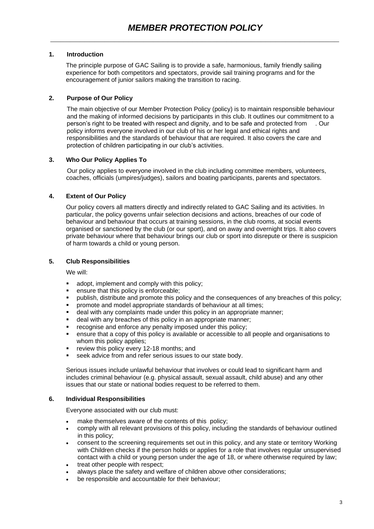### **1. Introduction**

The principle purpose of GAC Sailing is to provide a safe, harmonious, family friendly sailing experience for both competitors and spectators, provide sail training programs and for the encouragement of junior sailors making the transition to racing.

### **2. Purpose of Our Policy**

The main objective of our Member Protection Policy (policy) is to maintain responsible behaviour and the making of informed decisions by participants in this club. It outlines our commitment to a person's right to be treated with respect and dignity, and to be safe and protected from . Our policy informs everyone involved in our club of his or her legal and ethical rights and responsibilities and the standards of behaviour that are required. It also covers the care and protection of children participating in our club's activities.

### **3. Who Our Policy Applies To**

Our policy applies to everyone involved in the club including committee members, volunteers, coaches, officials (umpires/judges), sailors and boating participants, parents and spectators.

### **4. Extent of Our Policy**

Our policy covers all matters directly and indirectly related to GAC Sailing and its activities. In particular, the policy governs unfair selection decisions and actions, breaches of our code of behaviour and behaviour that occurs at training sessions, in the club rooms, at social events organised or sanctioned by the club (or our sport), and on away and overnight trips. It also covers private behaviour where that behaviour brings our club or sport into disrepute or there is suspicion of harm towards a child or young person.

### **5. Club Responsibilities**

We will:

- adopt, implement and comply with this policy;
- ensure that this policy is enforceable;
- publish, distribute and promote this policy and the consequences of any breaches of this policy;<br>■ promote and model appropriate standards of behaviour at all times:
- promote and model appropriate standards of behaviour at all times;
- deal with any complaints made under this policy in an appropriate manner;
- deal with any breaches of this policy in an appropriate manner;
- recognise and enforce any penalty imposed under this policy;
- ensure that a copy of this policy is available or accessible to all people and organisations to whom this policy applies;
- review this policy every 12-18 months; and
- seek advice from and refer serious issues to our state body.

Serious issues include unlawful behaviour that involves or could lead to significant harm and includes criminal behaviour (e.g. physical assault, sexual assault, child abuse) and any other issues that our state or national bodies request to be referred to them.

### **6. Individual Responsibilities**

Everyone associated with our club must:

- make themselves aware of the contents of this policy;
- comply with all relevant provisions of this policy, including the standards of behaviour outlined in this policy;
- consent to the screening requirements set out in this policy, and any state or territory Working with Children checks if the person holds or applies for a role that involves regular unsupervised contact with a child or young person under the age of 18, or where otherwise required by law;
- treat other people with respect;
- always place the safety and welfare of children above other considerations;
- be responsible and accountable for their behaviour;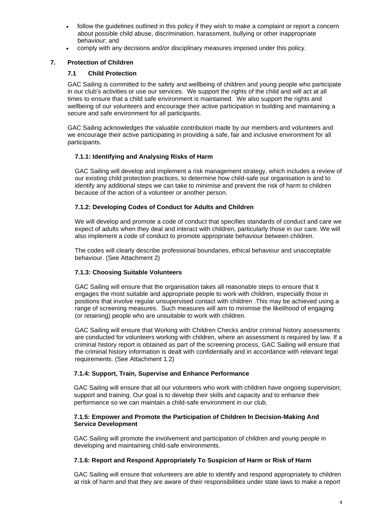- follow the quidelines outlined in this policy if they wish to make a complaint or report a concern about possible child abuse, discrimination, harassment, bullying or other inappropriate behaviour; and
- comply with any decisions and/or disciplinary measures imposed under this policy.

### **7. Protection of Children**

### **7.1 Child Protection**

GAC Sailing is committed to the safety and wellbeing of children and young people who participate in our club's activities or use our services. We support the rights of the child and will act at all times to ensure that a child safe environment is maintained. We also support the rights and wellbeing of our volunteers and encourage their active participation in building and maintaining a secure and safe environment for all participants.

GAC Sailing acknowledges the valuable contribution made by our members and volunteers and we encourage their active participating in providing a safe, fair and inclusive environment for all participants.

### **7.1.1: Identifying and Analysing Risks of Harm**

GAC Sailing will develop and implement a risk management strategy, which includes a review of our existing child protection practices, to determine how child-safe our organisation is and to identify any additional steps we can take to minimise and prevent the risk of harm to children because of the action of a volunteer or another person.

### **7.1.2: Developing Codes of Conduct for Adults and Children**

We will develop and promote a code of conduct that specifies standards of conduct and care we expect of adults when they deal and interact with children, particularly those in our care. We will also implement a code of conduct to promote appropriate behaviour between children.

The codes will clearly describe professional boundaries, ethical behaviour and unacceptable behaviour. (See Attachment 2)

### **7.1.3: Choosing Suitable Volunteers**

GAC Sailing will ensure that the organisation takes all reasonable steps to ensure that it engages the most suitable and appropriate people to work with children, especially those in positions that involve regular unsupervised contact with children .This may be achieved using a range of screening measures. Such measures will aim to minimise the likelihood of engaging (or retaining) people who are unsuitable to work with children.

GAC Sailing will ensure that Working with Children Checks and/or criminal history assessments are conducted for volunteers working with children, where an assessment is required by law. If a criminal history report is obtained as part of the screening process, GAC Sailing will ensure that the criminal history information is dealt with confidentially and in accordance with relevant legal requirements. (See Attachment 1.2)

### **7.1.4: Support, Train, Supervise and Enhance Performance**

GAC Sailing will ensure that all our volunteers who work with children have ongoing supervision; support and training. Our goal is to develop their skills and capacity and to enhance their performance so we can maintain a child-safe environment in our club.

### **7.1.5: Empower and Promote the Participation of Children In Decision-Making And Service Development**

GAC Sailing will promote the involvement and participation of children and young people in developing and maintaining child-safe environments.

### **7.1.6: Report and Respond Appropriately To Suspicion of Harm or Risk of Harm**

GAC Sailing will ensure that volunteers are able to identify and respond appropriately to children at risk of harm and that they are aware of their responsibilities under state laws to make a report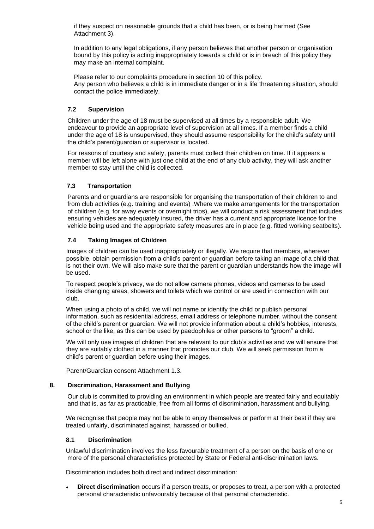if they suspect on reasonable grounds that a child has been, or is being harmed (See Attachment 3).

In addition to any legal obligations, if any person believes that another person or organisation bound by this policy is acting inappropriately towards a child or is in breach of this policy they may make an internal complaint.

Please refer to our complaints procedure in section 10 of this policy. Any person who believes a child is in immediate danger or in a life threatening situation, should contact the police immediately.

### **7.2 Supervision**

Children under the age of 18 must be supervised at all times by a responsible adult. We endeavour to provide an appropriate level of supervision at all times. If a member finds a child under the age of 18 is unsupervised, they should assume responsibility for the child's safety until the child's parent/guardian or supervisor is located.

For reasons of courtesy and safety, parents must collect their children on time. If it appears a member will be left alone with just one child at the end of any club activity, they will ask another member to stay until the child is collected.

### **7.3 Transportation**

Parents and or guardians are responsible for organising the transportation of their children to and from club activities (e.g. training and events) .Where we make arrangements for the transportation of children (e.g. for away events or overnight trips), we will conduct a risk assessment that includes ensuring vehicles are adequately insured, the driver has a current and appropriate licence for the vehicle being used and the appropriate safety measures are in place (e.g. fitted working seatbelts).

### **7.4 Taking Images of Children**

Images of children can be used inappropriately or illegally. We require that members, wherever possible, obtain permission from a child's parent or guardian before taking an image of a child that is not their own. We will also make sure that the parent or guardian understands how the image will be used.

To respect people's privacy, we do not allow camera phones, videos and cameras to be used inside changing areas, showers and toilets which we control or are used in connection with our club.

When using a photo of a child, we will not name or identify the child or publish personal information, such as residential address, email address or telephone number, without the consent of the child's parent or guardian. We will not provide information about a child's hobbies, interests, school or the like, as this can be used by paedophiles or other persons to "groom" a child.

We will only use images of children that are relevant to our club's activities and we will ensure that they are suitably clothed in a manner that promotes our club. We will seek permission from a child's parent or guardian before using their images.

Parent/Guardian consent Attachment 1.3.

### **8. Discrimination, Harassment and Bullying**

Our club is committed to providing an environment in which people are treated fairly and equitably and that is, as far as practicable, free from all forms of discrimination, harassment and bullying.

We recognise that people may not be able to enjoy themselves or perform at their best if they are treated unfairly, discriminated against, harassed or bullied.

### **8.1 Discrimination**

Unlawful discrimination involves the less favourable treatment of a person on the basis of one or more of the personal characteristics protected by State or Federal anti-discrimination laws.

Discrimination includes both direct and indirect discrimination:

• **Direct discrimination** occurs if a person treats, or proposes to treat, a person with a protected personal characteristic unfavourably because of that personal characteristic.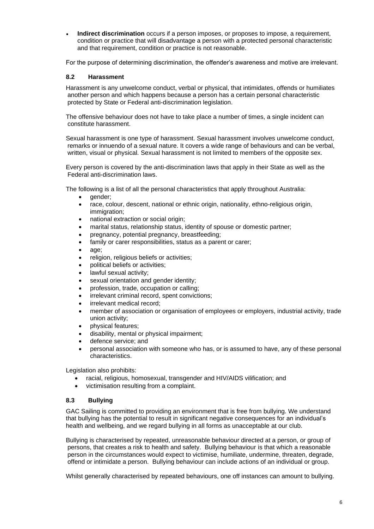**Indirect discrimination** occurs if a person imposes, or proposes to impose, a requirement, condition or practice that will disadvantage a person with a protected personal characteristic and that requirement, condition or practice is not reasonable.

For the purpose of determining discrimination, the offender's awareness and motive are irrelevant.

#### **8.2 Harassment**

Harassment is any unwelcome conduct, verbal or physical, that intimidates, offends or humiliates another person and which happens because a person has a certain personal characteristic protected by State or Federal anti-discrimination legislation.

The offensive behaviour does not have to take place a number of times, a single incident can constitute harassment.

Sexual harassment is one type of harassment. Sexual harassment involves unwelcome conduct, remarks or innuendo of a sexual nature. It covers a wide range of behaviours and can be verbal, written, visual or physical. Sexual harassment is not limited to members of the opposite sex.

Every person is covered by the anti-discrimination laws that apply in their State as well as the Federal anti-discrimination laws.

The following is a list of all the personal characteristics that apply throughout Australia:

- qender:
- race, colour, descent, national or ethnic origin, nationality, ethno-religious origin, immigration:
- national extraction or social origin;
- marital status, relationship status, identity of spouse or domestic partner;
- pregnancy, potential pregnancy, breastfeeding;
- family or carer responsibilities, status as a parent or carer;
- age;
- religion, religious beliefs or activities;
- political beliefs or activities;
- lawful sexual activity:
- sexual orientation and gender identity;
- profession, trade, occupation or calling;
- irrelevant criminal record, spent convictions;
- irrelevant medical record;
- member of association or organisation of employees or employers, industrial activity, trade union activity;
- physical features;
- disability, mental or physical impairment;
- defence service; and
- personal association with someone who has, or is assumed to have, any of these personal characteristics.

Legislation also prohibits:

- racial, religious, homosexual, transgender and HIV/AIDS vilification; and
- victimisation resulting from a complaint.

#### **8.3 Bullying**

GAC Sailing is committed to providing an environment that is free from bullying. We understand that bullying has the potential to result in significant negative consequences for an individual's health and wellbeing, and we regard bullying in all forms as unacceptable at our club.

Bullying is characterised by repeated, unreasonable behaviour directed at a person, or group of persons, that creates a risk to health and safety. Bullying behaviour is that which a reasonable person in the circumstances would expect to victimise, humiliate, undermine, threaten, degrade, offend or intimidate a person. Bullying behaviour can include actions of an individual or group.

Whilst generally characterised by repeated behaviours, one off instances can amount to bullying.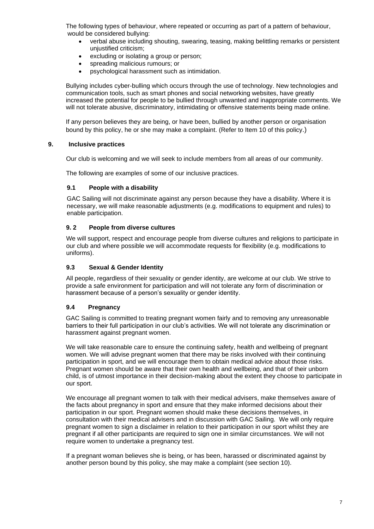The following types of behaviour, where repeated or occurring as part of a pattern of behaviour, would be considered bullying:

- verbal abuse including shouting, swearing, teasing, making belittling remarks or persistent unjustified criticism;
- excluding or isolating a group or person;
- spreading malicious rumours; or
- psychological harassment such as intimidation.

Bullying includes cyber-bulling which occurs through the use of technology. New technologies and communication tools, such as smart phones and social networking websites, have greatly increased the potential for people to be bullied through unwanted and inappropriate comments. We will not tolerate abusive, discriminatory, intimidating or offensive statements being made online.

If any person believes they are being, or have been, bullied by another person or organisation bound by this policy, he or she may make a complaint. (Refer to Item 10 of this policy.)

### **9. Inclusive practices**

Our club is welcoming and we will seek to include members from all areas of our community.

The following are examples of some of our inclusive practices.

#### **9.1 People with a disability**

GAC Sailing will not discriminate against any person because they have a disability. Where it is necessary, we will make reasonable adjustments (e.g. modifications to equipment and rules) to enable participation.

#### **9. 2 People from diverse cultures**

We will support, respect and encourage people from diverse cultures and religions to participate in our club and where possible we will accommodate requests for flexibility (e.g. modifications to uniforms).

#### **9.3 Sexual & Gender Identity**

All people, regardless of their sexuality or gender identity, are welcome at our club. We strive to provide a safe environment for participation and will not tolerate any form of discrimination or harassment because of a person's sexuality or gender identity.

### **9.4 Pregnancy**

GAC Sailing is committed to treating pregnant women fairly and to removing any unreasonable barriers to their full participation in our club's activities. We will not tolerate any discrimination or harassment against pregnant women.

We will take reasonable care to ensure the continuing safety, health and wellbeing of pregnant women. We will advise pregnant women that there may be risks involved with their continuing participation in sport, and we will encourage them to obtain medical advice about those risks. Pregnant women should be aware that their own health and wellbeing, and that of their unborn child, is of utmost importance in their decision-making about the extent they choose to participate in our sport.

We encourage all pregnant women to talk with their medical advisers, make themselves aware of the facts about pregnancy in sport and ensure that they make informed decisions about their participation in our sport. Pregnant women should make these decisions themselves, in consultation with their medical advisers and in discussion with GAC Sailing. We will only require pregnant women to sign a disclaimer in relation to their participation in our sport whilst they are pregnant if all other participants are required to sign one in similar circumstances. We will not require women to undertake a pregnancy test.

If a pregnant woman believes she is being, or has been, harassed or discriminated against by another person bound by this policy, she may make a complaint (see section 10).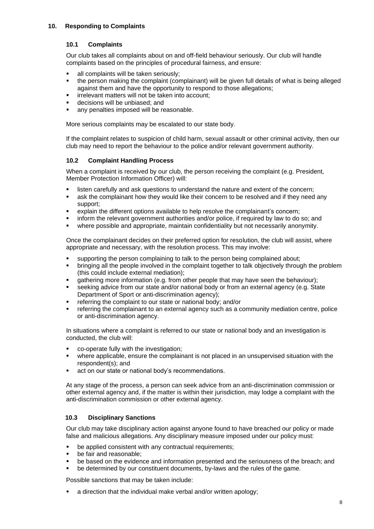### **10. Responding to Complaints**

### **10.1 Complaints**

Our club takes all complaints about on and off-field behaviour seriously. Our club will handle complaints based on the principles of procedural fairness, and ensure:

- all complaints will be taken seriously;
- the person making the complaint (complainant) will be given full details of what is being alleged against them and have the opportunity to respond to those allegations;
- irrelevant matters will not be taken into account:
- decisions will be unbiased; and<br>■ any penalties imposed will be re
- any penalties imposed will be reasonable.

More serious complaints may be escalated to our state body.

If the complaint relates to suspicion of child harm, sexual assault or other criminal activity, then our club may need to report the behaviour to the police and/or relevant government authority.

### **10.2 Complaint Handling Process**

When a complaint is received by our club, the person receiving the complaint (e.g. President, Member Protection Information Officer) will:

- **.** listen carefully and ask questions to understand the nature and extent of the concern;
- ask the complainant how they would like their concern to be resolved and if they need any support;
- explain the different options available to help resolve the complainant's concern;
- inform the relevant government authorities and/or police, if required by law to do so; and
- where possible and appropriate, maintain confidentiality but not necessarily anonymity.

Once the complainant decides on their preferred option for resolution, the club will assist, where appropriate and necessary, with the resolution process. This may involve:

- supporting the person complaining to talk to the person being complained about;
- bringing all the people involved in the complaint together to talk objectively through the problem (this could include external mediation);
- **•** gathering more information (e.g. from other people that may have seen the behaviour);
- seeking advice from our state and/or national body or from an external agency (e.g. State Department of Sport or anti-discrimination agency);
- referring the complaint to our state or national body; and/or
- referring the complainant to an external agency such as a community mediation centre, police or anti-discrimination agency.

In situations where a complaint is referred to our state or national body and an investigation is conducted, the club will:

- co-operate fully with the investigation;
- where applicable, ensure the complainant is not placed in an unsupervised situation with the respondent(s); and
- act on our state or national body's recommendations.

At any stage of the process, a person can seek advice from an anti-discrimination commission or other external agency and, if the matter is within their jurisdiction, may lodge a complaint with the anti-discrimination commission or other external agency.

### **10.3 Disciplinary Sanctions**

Our club may take disciplinary action against anyone found to have breached our policy or made false and malicious allegations. Any disciplinary measure imposed under our policy must:

- be applied consistent with any contractual requirements;
- be fair and reasonable;
- be based on the evidence and information presented and the seriousness of the breach; and
- be determined by our constituent documents, by-laws and the rules of the game.

Possible sanctions that may be taken include:

■ a direction that the individual make verbal and/or written apology;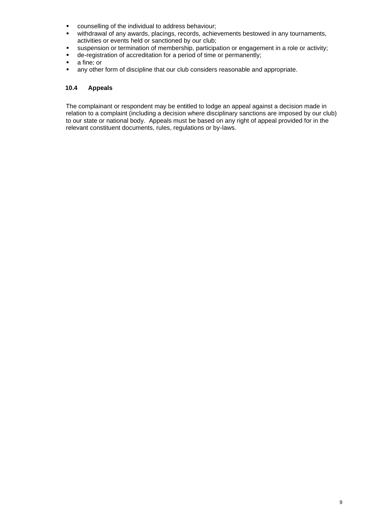- counselling of the individual to address behaviour:
- withdrawal of any awards, placings, records, achievements bestowed in any tournaments, activities or events held or sanctioned by our club;
- suspension or termination of membership, participation or engagement in a role or activity;<br>■ de-registration of accreditation for a period of time or permanently:
- de-registration of accreditation for a period of time or permanently;<br>■ a fine: or
- a fine; or
- **■** any other form of discipline that our club considers reasonable and appropriate.

### **10.4 Appeals**

The complainant or respondent may be entitled to lodge an appeal against a decision made in relation to a complaint (including a decision where disciplinary sanctions are imposed by our club) to our state or national body. Appeals must be based on any right of appeal provided for in the relevant constituent documents, rules, regulations or by-laws.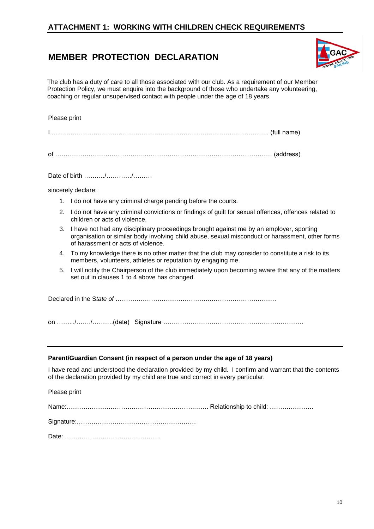## **ATTACHMENT 1: WORKING WITH CHILDREN CHECK REQUIREMENTS**

# **MEMBER PROTECTION DECLARATION**



The club has a duty of care to all those associated with our club. As a requirement of our Member Protection Policy, we must enquire into the background of those who undertake any volunteering, coaching or regular unsupervised contact with people under the age of 18 years.

#### Please print

|--|--|

of ……………………………………..…………………………………………………… (address)

Date of birth …………/…………/………

sincerely declare:

- 1. I do not have any criminal charge pending before the courts.
- 2. I do not have any criminal convictions or findings of guilt for sexual offences, offences related to children or acts of violence.
- 3. I have not had any disciplinary proceedings brought against me by an employer, sporting organisation or similar body involving child abuse, sexual misconduct or harassment, other forms of harassment or acts of violence.
- 4. To my knowledge there is no other matter that the club may consider to constitute a risk to its members, volunteers, athletes or reputation by engaging me.
- 5. I will notify the Chairperson of the club immediately upon becoming aware that any of the matters set out in clauses 1 to 4 above has changed.

Declared in the S*tate of* ……………………………………….………………………….

on …….../……./……….(date) Signature ………………………………………………………….

#### **Parent/Guardian Consent (in respect of a person under the age of 18 years)**

I have read and understood the declaration provided by my child. I confirm and warrant that the contents of the declaration provided by my child are true and correct in every particular.

Please print

Name:…………………………………………………….……. Relationship to child: …………………

Signature:…………………………………………………

Date: ……………………………………….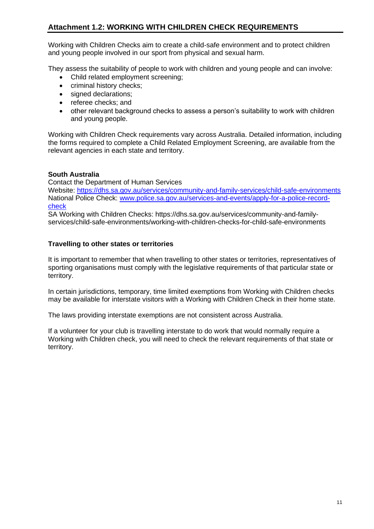# **Attachment 1.2: WORKING WITH CHILDREN CHECK REQUIREMENTS**

Working with Children Checks aim to create a child-safe environment and to protect children and young people involved in our sport from physical and sexual harm.

They assess the suitability of people to work with children and young people and can involve:

- Child related employment screening;
- criminal history checks;
- signed declarations;
- referee checks; and
- other relevant background checks to assess a person's suitability to work with children and young people.

Working with Children Check requirements vary across Australia. Detailed information, including the forms required to complete a Child Related Employment Screening, are available from the relevant agencies in each state and territory.

### **South Australia**

Contact the Department of Human Services

Website:<https://dhs.sa.gov.au/services/community-and-family-services/child-safe-environments> National Police Check: [www.police.sa.gov.au/services-and-events/apply-for-a-police-record](http://www.police.sa.gov.au/services-and-events/apply-for-a-police-record-check)[check](http://www.police.sa.gov.au/services-and-events/apply-for-a-police-record-check)

SA Working with Children Checks: https://dhs.sa.gov.au/services/community-and-familyservices/child-safe-environments/working-with-children-checks-for-child-safe-environments

### **Travelling to other states or territories**

It is important to remember that when travelling to other states or territories, representatives of sporting organisations must comply with the legislative requirements of that particular state or territory.

In certain jurisdictions, temporary, time limited exemptions from Working with Children checks may be available for interstate visitors with a Working with Children Check in their home state.

The laws providing interstate exemptions are not consistent across Australia.

If a volunteer for your club is travelling interstate to do work that would normally require a Working with Children check, you will need to check the relevant requirements of that state or territory.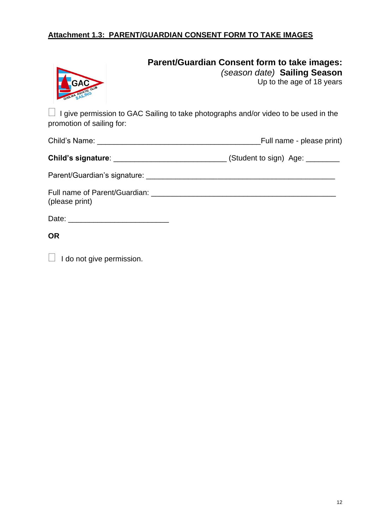# **Attachment 1.3: PARENT/GUARDIAN CONSENT FORM TO TAKE IMAGES**



# **Parent/Guardian Consent form to take images:**

*(season date)* **Sailing Season** Up to the age of 18 years

 I give permission to GAC Sailing to take photographs and/or video to be used in the promotion of sailing for:

|                                                                                                                                                                                                                                                 | Full name - please print)                                                        |
|-------------------------------------------------------------------------------------------------------------------------------------------------------------------------------------------------------------------------------------------------|----------------------------------------------------------------------------------|
|                                                                                                                                                                                                                                                 | Child's signature: ______________________________(Student to sign) Age: ________ |
|                                                                                                                                                                                                                                                 |                                                                                  |
| Full name of Parent/Guardian: The contract of the contract of the contract of the contract of the contract of the contract of the contract of the contract of the contract of the contract of the contract of the contract of<br>(please print) |                                                                                  |
|                                                                                                                                                                                                                                                 |                                                                                  |

# **OR**

 $\Box$  I do not give permission.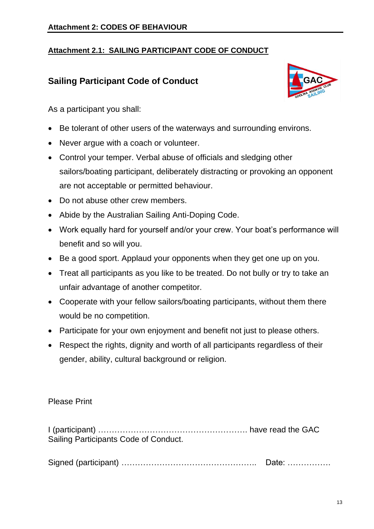# **Attachment 2.1: SAILING PARTICIPANT CODE OF CONDUCT**

# **Sailing Participant Code of Conduct**



As a participant you shall:

- Be tolerant of other users of the waterways and surrounding environs.
- Never argue with a coach or volunteer.
- Control your temper. Verbal abuse of officials and sledging other sailors/boating participant, deliberately distracting or provoking an opponent are not acceptable or permitted behaviour.
- Do not abuse other crew members.
- Abide by the Australian Sailing Anti-Doping Code.
- Work equally hard for yourself and/or your crew. Your boat's performance will benefit and so will you.
- Be a good sport. Applaud your opponents when they get one up on you.
- Treat all participants as you like to be treated. Do not bully or try to take an unfair advantage of another competitor.
- Cooperate with your fellow sailors/boating participants, without them there would be no competition.
- Participate for your own enjoyment and benefit not just to please others.
- Respect the rights, dignity and worth of all participants regardless of their gender, ability, cultural background or religion.

# Please Print

I (participant) ………………………………………………. have read the GAC Sailing Participants Code of Conduct.

Signed (participant) ………………………………………….. Date: …………….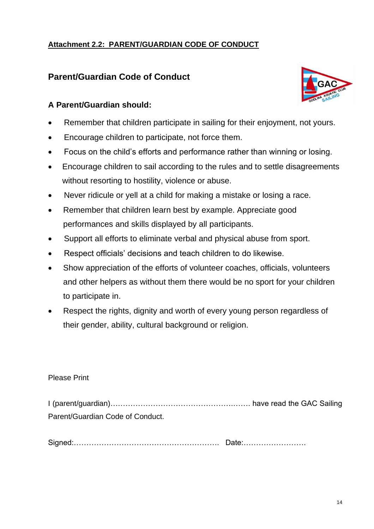# **Attachment 2.2: PARENT/GUARDIAN CODE OF CONDUCT**

# **Parent/Guardian Code of Conduct**



- Remember that children participate in sailing for their enjoyment, not yours.
- Encourage children to participate, not force them.
- Focus on the child's efforts and performance rather than winning or losing.
- Encourage children to sail according to the rules and to settle disagreements without resorting to hostility, violence or abuse.
- Never ridicule or yell at a child for making a mistake or losing a race.
- Remember that children learn best by example. Appreciate good performances and skills displayed by all participants.
- Support all efforts to eliminate verbal and physical abuse from sport.
- Respect officials' decisions and teach children to do likewise.
- Show appreciation of the efforts of volunteer coaches, officials, volunteers and other helpers as without them there would be no sport for your children to participate in.
- Respect the rights, dignity and worth of every young person regardless of their gender, ability, cultural background or religion.

### Please Print

I (parent/guardian)………………………………………….……. have read the GAC Sailing Parent/Guardian Code of Conduct.

Signed:…………………………………………………. Date:…………………….

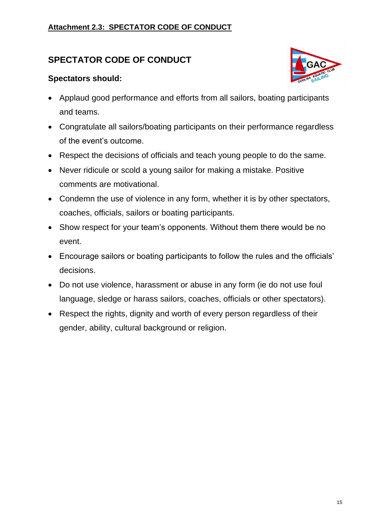# **Attachment 2.3: SPECTATOR CODE OF CONDUCT**

# **SPECTATOR CODE OF CONDUCT**

# **Spectators should:**



- Applaud good performance and efforts from all sailors, boating participants and teams.
- Congratulate all sailors/boating participants on their performance regardless of the event's outcome.
- Respect the decisions of officials and teach young people to do the same.
- Never ridicule or scold a young sailor for making a mistake. Positive comments are motivational.
- Condemn the use of violence in any form, whether it is by other spectators, coaches, officials, sailors or boating participants.
- Show respect for your team's opponents. Without them there would be no event.
- Encourage sailors or boating participants to follow the rules and the officials' decisions.
- Do not use violence, harassment or abuse in any form (ie do not use foul language, sledge or harass sailors, coaches, officials or other spectators).
- Respect the rights, dignity and worth of every person regardless of their gender, ability, cultural background or religion.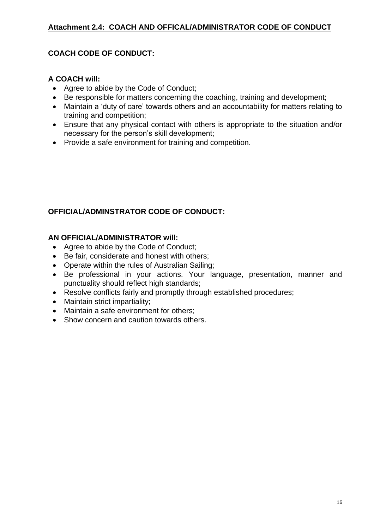# **Attachment 2.4: COACH AND OFFICAL/ADMINISTRATOR CODE OF CONDUCT**

# **COACH CODE OF CONDUCT:**

## **A COACH will:**

- Agree to abide by the Code of Conduct;
- Be responsible for matters concerning the coaching, training and development;
- Maintain a 'duty of care' towards others and an accountability for matters relating to training and competition;
- Ensure that any physical contact with others is appropriate to the situation and/or necessary for the person's skill development;
- Provide a safe environment for training and competition.

# **OFFICIAL/ADMINSTRATOR CODE OF CONDUCT:**

# **AN OFFICIAL/ADMINISTRATOR will:**

- Agree to abide by the Code of Conduct;
- Be fair, considerate and honest with others;
- Operate within the rules of Australian Sailing;
- Be professional in your actions. Your language, presentation, manner and punctuality should reflect high standards;
- Resolve conflicts fairly and promptly through established procedures;
- Maintain strict impartiality;
- Maintain a safe environment for others;
- Show concern and caution towards others.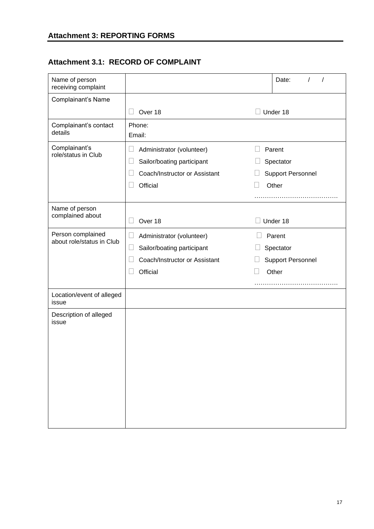# **Attachment 3.1: RECORD OF COMPLAINT**

| Name of person<br>receiving complaint          |                                      | Date:                    |
|------------------------------------------------|--------------------------------------|--------------------------|
| Complainant's Name                             |                                      |                          |
|                                                | Over 18                              | Under 18                 |
| Complainant's contact                          | Phone:                               |                          |
| details                                        | Email:                               |                          |
| Complainant's<br>role/status in Club           | Administrator (volunteer)            | Parent                   |
|                                                | Sailor/boating participant           | Spectator                |
|                                                | Coach/Instructor or Assistant        | <b>Support Personnel</b> |
|                                                | Official                             | Other<br>$\Box$          |
|                                                |                                      |                          |
| Name of person<br>complained about             |                                      |                          |
|                                                | Over 18                              | Under 18                 |
| Person complained<br>about role/status in Club | Administrator (volunteer)            | Parent                   |
|                                                | Sailor/boating participant<br>$\Box$ | Spectator                |
|                                                | Coach/Instructor or Assistant        | <b>Support Personnel</b> |
|                                                | Official                             | Other<br>Н               |
|                                                |                                      |                          |
| Location/event of alleged<br>issue             |                                      |                          |
| Description of alleged<br>issue                |                                      |                          |
|                                                |                                      |                          |
|                                                |                                      |                          |
|                                                |                                      |                          |
|                                                |                                      |                          |
|                                                |                                      |                          |
|                                                |                                      |                          |
|                                                |                                      |                          |
|                                                |                                      |                          |
|                                                |                                      |                          |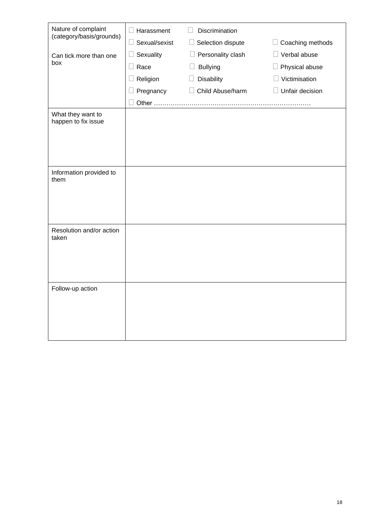| Nature of complaint                      | $\Box$ Harassment       | Discrimination              |                           |
|------------------------------------------|-------------------------|-----------------------------|---------------------------|
| (category/basis/grounds)                 | Sexual/sexist<br>$\Box$ | Selection dispute<br>$\Box$ | Coaching methods          |
| Can tick more than one                   | Sexuality<br>$\Box$     | Personality clash<br>$\Box$ | Verbal abuse              |
| box                                      | $\Box$ Race             | <b>Bullying</b>             | Physical abuse            |
|                                          | Religion<br>u           | <b>Disability</b>           | Victimisation             |
|                                          | Pregnancy               | Child Abuse/harm            | Unfair decision<br>$\Box$ |
|                                          | Other                   |                             |                           |
| What they want to<br>happen to fix issue |                         |                             |                           |
|                                          |                         |                             |                           |
| Information provided to<br>them          |                         |                             |                           |
| Resolution and/or action<br>taken        |                         |                             |                           |
| Follow-up action                         |                         |                             |                           |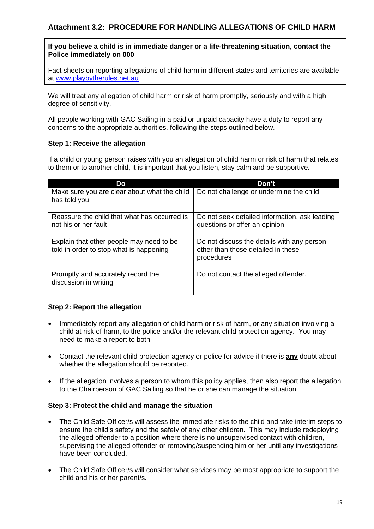### **If you believe a child is in immediate danger or a life-threatening situation**, **contact the Police immediately on 000**.

Fact sheets on reporting allegations of child harm in different states and territories are available at [www.playbytherules.net.au](http://www.playbytherules.net.au/)

We will treat any allegation of child harm or risk of harm promptly, seriously and with a high degree of sensitivity.

All people working with GAC Sailing in a paid or unpaid capacity have a duty to report any concerns to the appropriate authorities, following the steps outlined below.

### **Step 1: Receive the allegation**

If a child or young person raises with you an allegation of child harm or risk of harm that relates to them or to another child, it is important that you listen, stay calm and be supportive.

| Do                                                                                  | Don't                                                                                          |
|-------------------------------------------------------------------------------------|------------------------------------------------------------------------------------------------|
| Make sure you are clear about what the child<br>has told you                        | Do not challenge or undermine the child                                                        |
| Reassure the child that what has occurred is<br>not his or her fault                | Do not seek detailed information, ask leading<br>questions or offer an opinion                 |
| Explain that other people may need to be<br>told in order to stop what is happening | Do not discuss the details with any person<br>other than those detailed in these<br>procedures |
| Promptly and accurately record the<br>discussion in writing                         | Do not contact the alleged offender.                                                           |

### **Step 2: Report the allegation**

- Immediately report any allegation of child harm or risk of harm, or any situation involving a child at risk of harm, to the police and/or the relevant child protection agency. You may need to make a report to both.
- Contact the relevant child protection agency or police for advice if there is **any** doubt about whether the allegation should be reported.
- If the allegation involves a person to whom this policy applies, then also report the allegation to the Chairperson of GAC Sailing so that he or she can manage the situation.

### **Step 3: Protect the child and manage the situation**

- The Child Safe Officer/s will assess the immediate risks to the child and take interim steps to ensure the child's safety and the safety of any other children. This may include redeploying the alleged offender to a position where there is no unsupervised contact with children, supervising the alleged offender or removing/suspending him or her until any investigations have been concluded.
- The Child Safe Officer/s will consider what services may be most appropriate to support the child and his or her parent/s.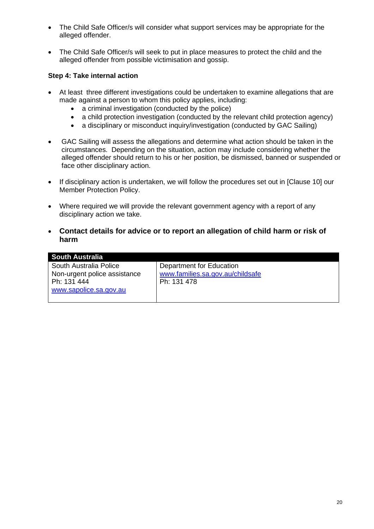- The Child Safe Officer/s will consider what support services may be appropriate for the alleged offender.
- The Child Safe Officer/s will seek to put in place measures to protect the child and the alleged offender from possible victimisation and gossip.

### **Step 4: Take internal action**

- At least three different investigations could be undertaken to examine allegations that are made against a person to whom this policy applies, including:
	- a criminal investigation (conducted by the police)
	- a child protection investigation (conducted by the relevant child protection agency)
	- a disciplinary or misconduct inquiry/investigation (conducted by GAC Sailing)
- GAC Sailing will assess the allegations and determine what action should be taken in the circumstances. Depending on the situation, action may include considering whether the alleged offender should return to his or her position, be dismissed, banned or suspended or face other disciplinary action.
- If disciplinary action is undertaken, we will follow the procedures set out in [Clause 10] our Member Protection Policy.
- Where required we will provide the relevant government agency with a report of any disciplinary action we take.
- **Contact details for advice or to report an allegation of child harm or risk of harm**

| <b>South Australia</b>       |                                  |
|------------------------------|----------------------------------|
| South Australia Police       | Department for Education         |
| Non-urgent police assistance | www.families.sa.gov.au/childsafe |
| Ph: 131 444                  | Ph: 131 478                      |
| www.sapolice.sa.gov.au       |                                  |
|                              |                                  |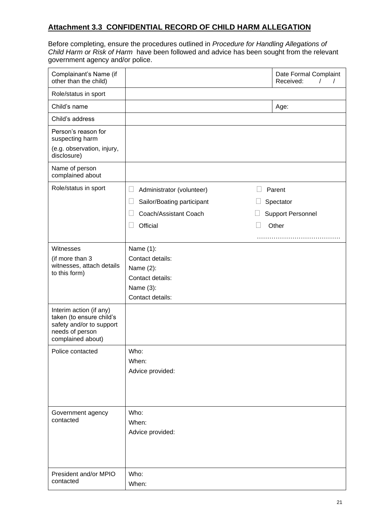# **Attachment 3.3 CONFIDENTIAL RECORD OF CHILD HARM ALLEGATION**

Before completing, ensure the procedures outlined in *Procedure for Handling Allegations of Child Harm or Risk of Harm* have been followed and advice has been sought from the relevant government agency and/or police.

| Complainant's Name (if<br>other than the child)                                                                         |                                                                                                                  | Date Formal Complaint<br>Received:<br>$\prime$<br>$\prime$ |
|-------------------------------------------------------------------------------------------------------------------------|------------------------------------------------------------------------------------------------------------------|------------------------------------------------------------|
| Role/status in sport                                                                                                    |                                                                                                                  |                                                            |
| Child's name                                                                                                            |                                                                                                                  | Age:                                                       |
| Child's address                                                                                                         |                                                                                                                  |                                                            |
| Person's reason for<br>suspecting harm<br>(e.g. observation, injury,<br>disclosure)                                     |                                                                                                                  |                                                            |
| Name of person<br>complained about                                                                                      |                                                                                                                  |                                                            |
| Role/status in sport                                                                                                    | $\Box$<br>Administrator (volunteer)<br>Sailor/Boating participant<br>$\Box$<br>Coach/Assistant Coach<br>Official | Parent<br>Spectator<br><b>Support Personnel</b><br>Other   |
| Witnesses<br>(if more than 3<br>witnesses, attach details<br>to this form)                                              | Name $(1)$ :<br>Contact details:<br>Name $(2)$ :<br>Contact details:<br>Name (3):<br>Contact details:            |                                                            |
| Interim action (if any)<br>taken (to ensure child's<br>safety and/or to support<br>needs of person<br>complained about) |                                                                                                                  |                                                            |
| Police contacted                                                                                                        | Who:<br>When:<br>Advice provided:                                                                                |                                                            |
| Government agency<br>contacted                                                                                          | Who:<br>When:<br>Advice provided:                                                                                |                                                            |
| President and/or MPIO<br>contacted                                                                                      | Who:<br>When:                                                                                                    |                                                            |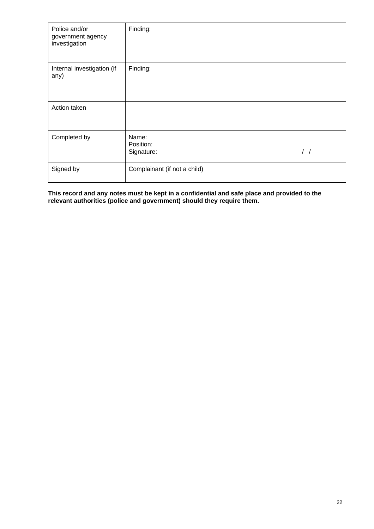| Police and/or<br>government agency<br>investigation | Finding:                                          |  |
|-----------------------------------------------------|---------------------------------------------------|--|
| Internal investigation (if<br>any)                  | Finding:                                          |  |
| Action taken                                        |                                                   |  |
| Completed by                                        | Name:<br>Position:<br>$\frac{1}{2}$<br>Signature: |  |
| Signed by                                           | Complainant (if not a child)                      |  |

**This record and any notes must be kept in a confidential and safe place and provided to the relevant authorities (police and government) should they require them.**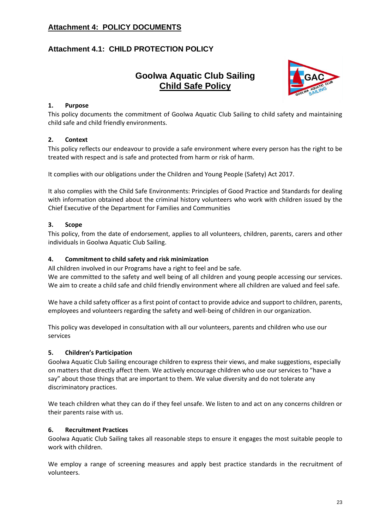# **Attachment 4: POLICY DOCUMENTS**

# **Attachment 4.1: CHILD PROTECTION POLICY**

# **Goolwa Aquatic Club Sailing Child Safe Policy**



### **1. Purpose**

This policy documents the commitment of Goolwa Aquatic Club Sailing to child safety and maintaining child safe and child friendly environments.

### **2. Context**

This policy reflects our endeavour to provide a safe environment where every person has the right to be treated with respect and is safe and protected from harm or risk of harm.

It complies with our obligations under the Children and Young People (Safety) Act 2017.

It also complies with the Child Safe Environments: Principles of Good Practice and Standards for dealing with information obtained about the criminal history volunteers who work with children issued by the Chief Executive of the Department for Families and Communities

### **3. Scope**

This policy, from the date of endorsement, applies to all volunteers, children, parents, carers and other individuals in Goolwa Aquatic Club Sailing.

### **4. Commitment to child safety and risk minimization**

All children involved in our Programs have a right to feel and be safe.

We are committed to the safety and well being of all children and young people accessing our services. We aim to create a child safe and child friendly environment where all children are valued and feel safe.

We have a child safety officer as a first point of contact to provide advice and support to children, parents, employees and volunteers regarding the safety and well-being of children in our organization.

This policy was developed in consultation with all our volunteers, parents and children who use our services

### **5. Children's Participation**

Goolwa Aquatic Club Sailing encourage children to express their views, and make suggestions, especially on matters that directly affect them. We actively encourage children who use our services to "have a say" about those things that are important to them. We value diversity and do not tolerate any discriminatory practices.

We teach children what they can do if they feel unsafe. We listen to and act on any concerns children or their parents raise with us.

### **6. Recruitment Practices**

Goolwa Aquatic Club Sailing takes all reasonable steps to ensure it engages the most suitable people to work with children.

We employ a range of screening measures and apply best practice standards in the recruitment of volunteers.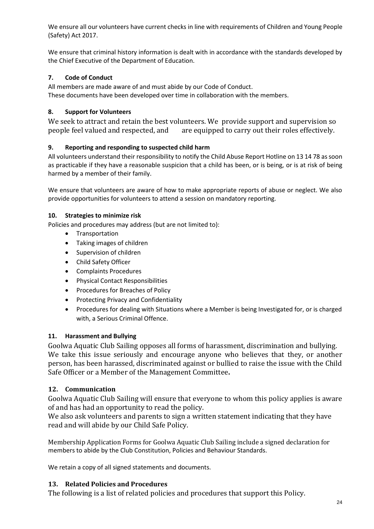We ensure all our volunteers have current checks in line with requirements of Children and Young People (Safety) Act 2017.

We ensure that criminal history information is dealt with in accordance with the standards developed by the Chief Executive of the Department of Education.

### **7. Code of Conduct**

All members are made aware of and must abide by our Code of Conduct. These documents have been developed over time in collaboration with the members.

### **8. Support for Volunteers**

We seek to attract and retain the best volunteers. We provide support and supervision so people feel valued and respected, and are equipped to carry out their roles effectively.

### **9. Reporting and responding to suspected child harm**

All volunteers understand their responsibility to notify the Child Abuse Report Hotline on 13 14 78 as soon as practicable if they have a reasonable suspicion that a child has been, or is being, or is at risk of being harmed by a member of their family.

We ensure that volunteers are aware of how to make appropriate reports of abuse or neglect. We also provide opportunities for volunteers to attend a session on mandatory reporting.

### **10. Strategies to minimize risk**

Policies and procedures may address (but are not limited to):

- Transportation
- Taking images of children
- Supervision of children
- Child Safety Officer
- Complaints Procedures
- Physical Contact Responsibilities
- Procedures for Breaches of Policy
- Protecting Privacy and Confidentiality
- Procedures for dealing with Situations where a Member is being Investigated for, or is charged with, a Serious Criminal Offence.

### **11. Harassment and Bullying**

Goolwa Aquatic Club Sailing opposes all forms of harassment, discrimination and bullying. We take this issue seriously and encourage anyone who believes that they, or another person, has been harassed, discriminated against or bullied to raise the issue with the Child Safe Officer or a Member of the Management Committee**.**

### **12. Communication**

Goolwa Aquatic Club Sailing will ensure that everyone to whom this policy applies is aware of and has had an opportunity to read the policy.

We also ask volunteers and parents to sign a written statement indicating that they have read and will abide by our Child Safe Policy.

Membership Application Forms for Goolwa Aquatic Club Sailing include a signed declaration for members to abide by the Club Constitution, Policies and Behaviour Standards.

We retain a copy of all signed statements and documents.

## **13. Related Policies and Procedures**

The following is a list of related policies and procedures that support this Policy.